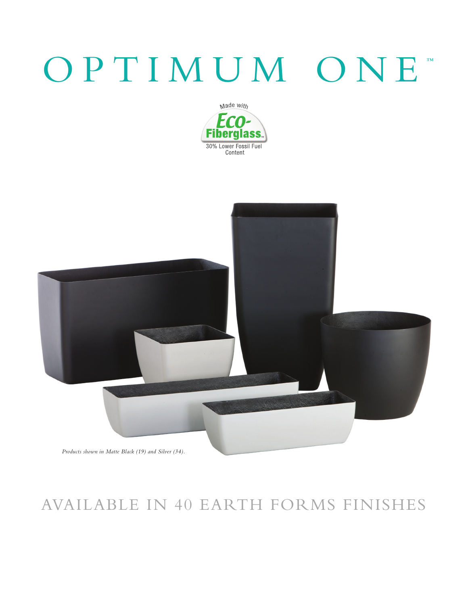## OPTIMUM ONE





## AVAILABLE IN 40 EARTH FORMS FINISHES